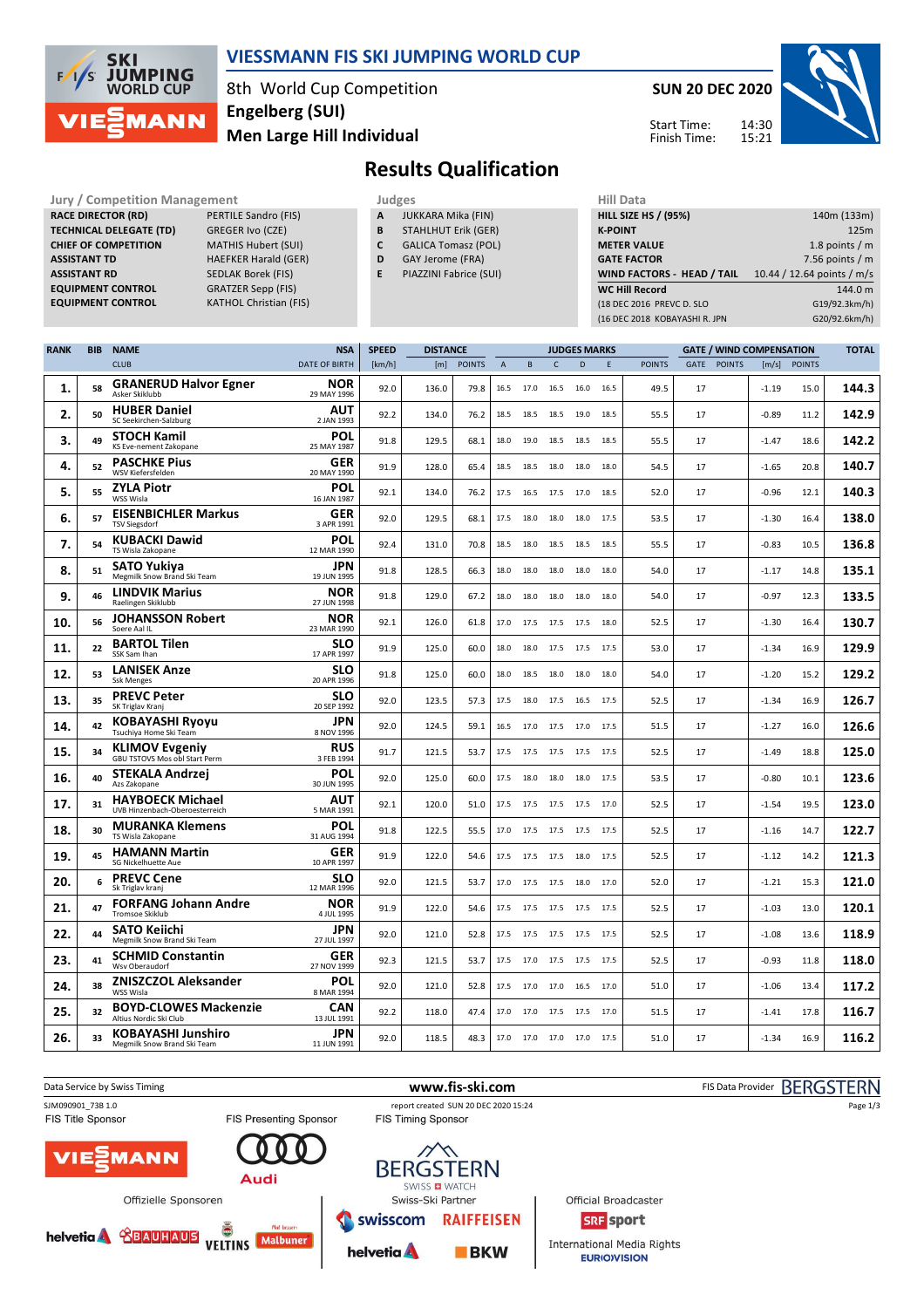

#### **VIESSMANN FIS SKI JUMPING WORLD CUP**

8th World Cup Competition **Men Large Hill Individual Engelberg (SUI)**

**SUN 20 DEC 2020**

Start Time: Finish Time: 14:30 15:21



**Results Qualification**

**Jury / Competition Management Judges Hill Data**<br> **RACE DIRECTOR (RD)** PERTILE Sandro (FIS) **A** JUKKARA Mika (FIN) **HILL SIZE H RACE DIRECTOR (RD) TECHNICAL DELEGATE (TD)** GREGER Ivo (CZE) **CHIEF OF COMPETITION** MATHIS Hubert (SUI) **ASSISTANT TD** HAEFKER Harald (GER) **ASSISTANT RD** SEDLAK Borek (FIS) **EQUIPMENT CONTROL 6RATZER Sepp (FIS)**<br> **EQUIPMENT CONTROL** KATHOL Christian (FIS) **EQUIPMENT CONTROL** 

- **A** JUKKARA Mika (FIN) **B** STAHLHUT Erik (GER)
- **C** GALICA Tomasz (POL)
- **D** GAY Jerome (FRA)
- **E** PIAZZINI Fabrice (SUI)

| 140m (133m)                |  |  |  |  |  |  |
|----------------------------|--|--|--|--|--|--|
| 125m                       |  |  |  |  |  |  |
| 1.8 points $/m$            |  |  |  |  |  |  |
| 7.56 points $/m$           |  |  |  |  |  |  |
|                            |  |  |  |  |  |  |
| 10.44 / 12.64 points / m/s |  |  |  |  |  |  |
| 144.0 m                    |  |  |  |  |  |  |
| G19/92.3km/h)              |  |  |  |  |  |  |
|                            |  |  |  |  |  |  |

| <b>RANK</b> | <b>BIB</b> | <b>NAME</b>                                                   | <b>NSA</b>                | <b>SPEED</b> | <b>DISTANCE</b> |               |                | <b>JUDGES MARKS</b> |              |                          |      |               |      |               | <b>GATE / WIND COMPENSATION</b> | <b>TOTAL</b>  |       |
|-------------|------------|---------------------------------------------------------------|---------------------------|--------------|-----------------|---------------|----------------|---------------------|--------------|--------------------------|------|---------------|------|---------------|---------------------------------|---------------|-------|
|             |            | <b>CLUB</b>                                                   | <b>DATE OF BIRTH</b>      | [km/h]       | [m]             | <b>POINTS</b> | $\overline{A}$ | B                   | $\mathsf{C}$ | D                        | E.   | <b>POINTS</b> | GATE | <b>POINTS</b> | [m/s]                           | <b>POINTS</b> |       |
| 1.          | 58         | <b>GRANERUD Halvor Egner</b><br>Asker Skiklubb                | NOR<br>29 MAY 1996        | 92.0         | 136.0           | 79.8          | 16.5           | 17.0                | 16.5         | 16.0                     | 16.5 | 49.5          | 17   |               | $-1.19$                         | 15.0          | 144.3 |
| 2.          | 50         | <b>HUBER Daniel</b><br>SC Seekirchen-Salzburg                 | AUT<br>2 JAN 1993         | 92.2         | 134.0           | 76.2          | 18.5           | 18.5                | 18.5         | 19.0                     | 18.5 | 55.5          | 17   |               | $-0.89$                         | 11.2          | 142.9 |
| з.          | 49         | <b>STOCH Kamil</b><br>KS Eve-nement Zakopane                  | POL<br>25 MAY 1987        | 91.8         | 129.5           | 68.1          | 18.0           | 19.0                | 18.5         | 18.5                     | 18.5 | 55.5          | 17   |               | $-1.47$                         | 18.6          | 142.2 |
| 4.          | 52         | <b>PASCHKE Pius</b><br>WSV Kiefersfelden                      | <b>GER</b><br>20 MAY 1990 | 91.9         | 128.0           | 65.4          | 18.5           | 18.5                | 18.0         | 18.0                     | 18.0 | 54.5          | 17   |               | $-1.65$                         | 20.8          | 140.7 |
| 5.          | 55         | ZYLA Piotr<br>WSS Wisla                                       | POL<br>16 JAN 1987        | 92.1         | 134.0           | 76.2          | 17.5           | 16.5                | 17.5         | 17.0                     | 18.5 | 52.0          | 17   |               | $-0.96$                         | 12.1          | 140.3 |
| 6.          | 57         | <b>EISENBICHLER Markus</b><br><b>TSV Siegsdorf</b>            | GER<br>3 APR 1991         | 92.0         | 129.5           | 68.1          | 17.5           | 18.0                | 18.0         | 18.0                     | 17.5 | 53.5          | 17   |               | $-1.30$                         | 16.4          | 138.0 |
| 7.          | 54         | <b>KUBACKI Dawid</b><br>TS Wisla Zakopane                     | POL<br>12 MAR 1990        | 92.4         | 131.0           | 70.8          | 18.5           | 18.0                | 18.5         | 18.5                     | 18.5 | 55.5          | 17   |               | $-0.83$                         | 10.5          | 136.8 |
| 8.          | 51         | SATO Yukiya<br>Megmilk Snow Brand Ski Team                    | <b>JPN</b><br>19 JUN 1995 | 91.8         | 128.5           | 66.3          | 18.0           | 18.0                | 18.0         | 18.0                     | 18.0 | 54.0          | 17   |               | $-1.17$                         | 14.8          | 135.1 |
| 9.          | 46         | <b>LINDVIK Marius</b><br>Raelingen Skiklubb                   | <b>NOR</b><br>27 JUN 1998 | 91.8         | 129.0           | 67.2          | 18.0           | 18.0                | 18.0         | 18.0                     | 18.0 | 54.0          | 17   |               | $-0.97$                         | 12.3          | 133.5 |
| 10.         | 56         | <b>JOHANSSON Robert</b><br>Soere Aal IL                       | NOR<br>23 MAR 1990        | 92.1         | 126.0           | 61.8          | 17.0           | 17.5                | 17.5         | 17.5                     | 18.0 | 52.5          | 17   |               | $-1.30$                         | 16.4          | 130.7 |
| 11.         | 22         | <b>BARTOL Tilen</b><br>SSK Sam Ihan                           | <b>SLO</b><br>17 APR 1997 | 91.9         | 125.0           | 60.0          | 18.0           | 18.0                | 17.5         | 17.5                     | 17.5 | 53.0          | 17   |               | $-1.34$                         | 16.9          | 129.9 |
| 12.         | 53         | <b>LANISEK Anze</b><br><b>Ssk Menges</b>                      | <b>SLO</b><br>20 APR 1996 | 91.8         | 125.0           | 60.0          | 18.0           | 18.5                | 18.0         | 18.0                     | 18.0 | 54.0          | 17   |               | $-1.20$                         | 15.2          | 129.2 |
| 13.         | 35         | <b>PREVC Peter</b><br>SK Triglav Kranj                        | <b>SLO</b><br>20 SEP 1992 | 92.0         | 123.5           | 57.3          | 17.5           | 18.0                |              | 17.5 16.5 17.5           |      | 52.5          | 17   |               | $-1.34$                         | 16.9          | 126.7 |
| 14.         | 42         | <b>KOBAYASHI Ryoyu</b><br>Tsuchiya Home Ski Team              | <b>JPN</b><br>8 NOV 1996  | 92.0         | 124.5           | 59.1          | 16.5           | 17.0                | 17.5         | 17.0                     | 17.5 | 51.5          | 17   |               | $-1.27$                         | 16.0          | 126.6 |
| 15.         | 34         | <b>KLIMOV Evgeniy</b><br><b>GBU TSTOVS Mos obl Start Perm</b> | <b>RUS</b><br>3 FEB 1994  | 91.7         | 121.5           | 53.7          | 17.5           | 17.5                | 17.5 17.5    |                          | 17.5 | 52.5          | 17   |               | $-1.49$                         | 18.8          | 125.0 |
| 16.         | 40         | STEKALA Andrzej<br>Azs Zakopane                               | POL<br>30 JUN 1995        | 92.0         | 125.0           | 60.0          | 17.5           | 18.0                | 18.0         | 18.0                     | 17.5 | 53.5          | 17   |               | $-0.80$                         | 10.1          | 123.6 |
| 17.         | 31         | <b>HAYBOECK Michael</b><br>UVB Hinzenbach-Oberoesterreich     | <b>AUT</b><br>5 MAR 1991  | 92.1         | 120.0           | 51.0          |                |                     |              | 17.5 17.5 17.5 17.5 17.0 |      | 52.5          | 17   |               | $-1.54$                         | 19.5          | 123.0 |
| 18.         | 30         | <b>MURANKA Klemens</b><br>TS Wisla Zakopane                   | POL<br>31 AUG 1994        | 91.8         | 122.5           | 55.5          | 17.0           | 17.5                | 17.5 17.5    |                          | 17.5 | 52.5          | 17   |               | $-1.16$                         | 14.7          | 122.7 |
| 19.         | 45         | <b>HAMANN Martin</b><br>SG Nickelhuette Aue                   | <b>GER</b><br>10 APR 1997 | 91.9         | 122.0           | 54.6          | 17.5           | 17.5                | 17.5         | 18.0                     | 17.5 | 52.5          | 17   |               | $-1.12$                         | 14.2          | 121.3 |
| 20.         | 6          | <b>PREVC Cene</b><br>Sk Triglav kranj                         | <b>SLO</b><br>12 MAR 1996 | 92.0         | 121.5           | 53.7          | 17.0           | 17.5                | 17.5         | 18.0                     | 17.0 | 52.0          | 17   |               | $-1.21$                         | 15.3          | 121.0 |
| 21.         | 47         | <b>FORFANG Johann Andre</b><br><b>Tromsoe Skiklub</b>         | <b>NOR</b><br>4 JUL 1995  | 91.9         | 122.0           | 54.6          | 17.5           |                     |              | 17.5 17.5 17.5 17.5      |      | 52.5          | 17   |               | $-1.03$                         | 13.0          | 120.1 |
| 22.         | 44         | <b>SATO Keiichi</b><br>Megmilk Snow Brand Ski Team            | <b>JPN</b><br>27 JUL 1997 | 92.0         | 121.0           | 52.8          | 17.5           | 17.5                | 17.5         | 17.5                     | 17.5 | 52.5          | 17   |               | $-1.08$                         | 13.6          | 118.9 |
| 23.         | 41         | <b>SCHMID Constantin</b><br>Wsv Oberaudorf                    | GER<br>27 NOV 1999        | 92.3         | 121.5           | 53.7          | 17.5           | 17.0                | 17.5 17.5    |                          | 17.5 | 52.5          | 17   |               | $-0.93$                         | 11.8          | 118.0 |
| 24.         | 38         | <b>ZNISZCZOL Aleksander</b><br>WSS Wisla                      | POL<br>8 MAR 1994         | 92.0         | 121.0           | 52.8          | 17.5           | 17.0                | 17.0         | 16.5                     | 17.0 | 51.0          | 17   |               | $-1.06$                         | 13.4          | 117.2 |
| 25.         | 32         | <b>BOYD-CLOWES Mackenzie</b><br>Altius Nordic Ski Club        | CAN<br>13 JUL 1991        | 92.2         | 118.0           | 47.4          | 17.0           | 17.0                | 17.5         | 17.5                     | 17.0 | 51.5          | 17   |               | $-1.41$                         | 17.8          | 116.7 |
| 26.         | 33         | <b>KOBAYASHI Junshiro</b><br>Megmilk Snow Brand Ski Team      | JPN<br>11 JUN 1991        | 92.0         | 118.5           | 48.3          | 17.0           | 17.0 17.0           |              | 17.0                     | 17.5 | 51.0          | 17   |               | $-1.34$                         | 16.9          | 116.2 |

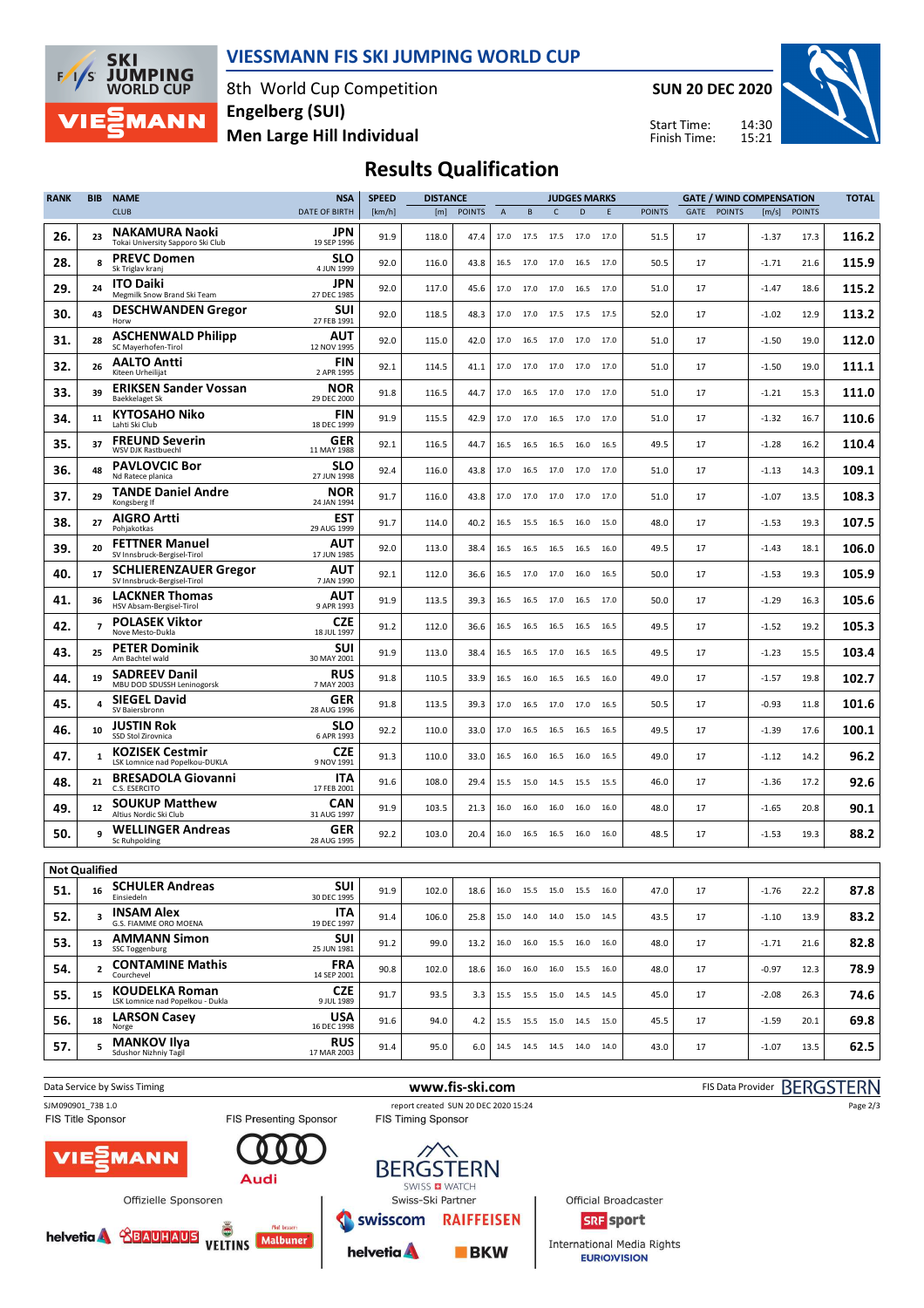

#### **VIESSMANN FIS SKI JUMPING WORLD CUP**

8th World Cup Competition **Men Large Hill Individual Engelberg (SUI)**

**SUN 20 DEC 2020**

Start Time: Finish Time:



## **Results Qualification**

| <b>RANK</b>          | <b>BIB</b>              | <b>NAME</b>                                                 | <b>NSA</b>                               | <b>SPEED</b> | <b>DISTANCE</b> |               |      |                                                        |                     | <b>JUDGES MARKS</b> |        |               |      |               | <b>GATE / WIND COMPENSATION</b> |               | <b>TOTAL</b> |
|----------------------|-------------------------|-------------------------------------------------------------|------------------------------------------|--------------|-----------------|---------------|------|--------------------------------------------------------|---------------------|---------------------|--------|---------------|------|---------------|---------------------------------|---------------|--------------|
|                      |                         | <b>CLUB</b>                                                 | <b>DATE OF BIRTH</b>                     | [km/h]       | [m]             | <b>POINTS</b> | A    | B                                                      | C                   | D                   | E      | <b>POINTS</b> | GATE | <b>POINTS</b> | [m/s]                           | <b>POINTS</b> |              |
| 26.                  | 23                      | <b>NAKAMURA Naoki</b><br>Tokai University Sapporo Ski Club  | JPN<br>19 SEP 1996                       | 91.9         | 118.0           | 47.4          | 17.0 | 17.5                                                   | 17.5                | 17.0                | 17.0   | 51.5          | 17   |               | $-1.37$                         | 17.3          | 116.2        |
| 28.                  | 8                       | <b>PREVC Domen</b><br>Sk Triglav kranj                      | SLO<br>4 JUN 1999                        | 92.0         | 116.0           | 43.8          | 16.5 | 17.0                                                   | 17.0                | 16.5                | 17.0   | 50.5          | 17   |               | $-1.71$                         | 21.6          | 115.9        |
| 29.                  | 24                      | <b>ITO Daiki</b><br>Megmilk Snow Brand Ski Team             | JPN<br>27 DEC 1985                       | 92.0         | 117.0           | 45.6          | 17.0 | 17.0                                                   | 17.0                | 16.5                | 17.0   | 51.0          | 17   |               | $-1.47$                         | 18.6          | 115.2        |
| 30.                  | 43                      | <b>DESCHWANDEN Gregor</b><br>Horw                           | SUI<br>27 FEB 1991                       | 92.0         | 118.5           | 48.3          | 17.0 |                                                        | 17.0 17.5 17.5 17.5 |                     |        | 52.0          | 17   |               | $-1.02$                         | 12.9          | 113.2        |
| 31.                  | 28                      | <b>ASCHENWALD Philipp</b><br>SC Mayerhofen-Tirol            | AUT<br>12 NOV 1995                       | 92.0         | 115.0           | 42.0          | 17.0 | 16.5                                                   | 17.0                | 17.0                | 17.0   | 51.0          | 17   |               | $-1.50$                         | 19.0          | 112.0        |
| 32.                  | 26                      | <b>AALTO Antti</b><br>Kiteen Urheilijat                     | FIN<br>2 APR 1995                        | 92.1         | 114.5           | 41.1          | 17.0 |                                                        | 17.0 17.0           | 17.0 17.0           |        | 51.0          | 17   |               | $-1.50$                         | 19.0          | 111.1        |
| 33.                  | 39                      | <b>ERIKSEN Sander Vossan</b><br><b>Baekkelaget Sk</b>       | NOR<br>29 DEC 2000                       | 91.8         | 116.5           | 44.7          | 17.0 | 16.5                                                   | 17.0                | 17.0                | 17.0   | 51.0          | 17   |               | $-1.21$                         | 15.3          | 111.0        |
| 34.                  | 11                      | <b>KYTOSAHO Niko</b><br>Lahti Ski Club                      | <b>FIN</b><br>18 DEC 1999                | 91.9         | 115.5           | 42.9          | 17.0 | 17.0                                                   | 16.5                | 17.0 17.0           |        | 51.0          | 17   |               | $-1.32$                         | 16.7          | 110.6        |
| 35.                  | 37                      | <b>FREUND Severin</b><br>WSV DJK Rastbuechl                 | GER<br>11 MAY 1988                       | 92.1         | 116.5           | 44.7          | 16.5 |                                                        | 16.5 16.5 16.0      |                     | 16.5   | 49.5          | 17   |               | $-1.28$                         | 16.2          | 110.4        |
| 36.                  | 48                      | <b>PAVLOVCIC Bor</b><br>Nd Ratece planica                   | SLO<br>27 JUN 1998                       | 92.4         | 116.0           | 43.8          | 17.0 | 16.5                                                   | 17.0                | 17.0                | 17.0   | 51.0          | 17   |               | $-1.13$                         | 14.3          | 109.1        |
| 37.                  | 29                      | <b>TANDE Daniel Andre</b><br>Kongsberg If                   | NOR<br>24 JAN 1994                       | 91.7         | 116.0           | 43.8          | 17.0 | 17.0                                                   | 17.0                | 17.0                | 17.0   | 51.0          | 17   |               | $-1.07$                         | 13.5          | 108.3        |
| 38.                  | 27                      | <b>AIGRO Artti</b><br>Pohjakotkas                           | EST<br>29 AUG 1999                       | 91.7         | 114.0           | 40.2          | 16.5 | 15.5                                                   | 16.5                | 16.0                | 15.0   | 48.0          | 17   |               | $-1.53$                         | 19.3          | 107.5        |
| 39.                  | 20                      | <b>FETTNER Manuel</b><br>SV Innsbruck-Bergisel-Tirol        | AUT<br>17 JUN 1985                       | 92.0         | 113.0           | 38.4          | 16.5 | 16.5                                                   | 16.5                | 16.5                | 16.0   | 49.5          | 17   |               | $-1.43$                         | 18.1          | 106.0        |
| 40.                  | 17                      | <b>SCHLIERENZAUER Gregor</b><br>SV Innsbruck-Bergisel-Tirol | AUT<br>7 JAN 1990                        | 92.1         | 112.0           | 36.6          | 16.5 |                                                        | 17.0 17.0 16.0      |                     | 16.5   | 50.0          | 17   |               | $-1.53$                         | 19.3          | 105.9        |
| 41.                  | 36                      | <b>LACKNER Thomas</b><br>HSV Absam-Bergisel-Tirol           | AUT<br>9 APR 1993                        | 91.9         | 113.5           | 39.3          | 16.5 | 16.5                                                   | 17.0                | 16.5                | 17.0   | 50.0          | 17   |               | $-1.29$                         | 16.3          | 105.6        |
| 42.                  | $\overline{7}$          | <b>POLASEK Viktor</b><br>Nove Mesto-Dukla                   | <b>CZE</b><br>18 JUL 1997                | 91.2         | 112.0           | 36.6          | 16.5 | 16.5                                                   | 16.5                | 16.5                | 16.5   | 49.5          | 17   |               | $-1.52$                         | 19.2          | 105.3        |
| 43.                  | 25                      | <b>PETER Dominik</b><br>Am Bachtel wald                     | SUI<br>30 MAY 2001                       | 91.9         | 113.0           | 38.4          | 16.5 | 16.5                                                   | 17.0                | 16.5                | 16.5   | 49.5          | 17   |               | $-1.23$                         | 15.5          | 103.4        |
| 44.                  | 19                      | <b>SADREEV Danil</b><br>MBU DOD SDUSSH Leninogorsk          | <b>RUS</b><br>7 MAY 2003                 | 91.8         | 110.5           | 33.9          | 16.5 | 16.0                                                   | 16.5                | 16.5                | 16.0   | 49.0          | 17   |               | $-1.57$                         | 19.8          | 102.7        |
| 45.                  | 4                       | <b>SIEGEL David</b><br>SV Baiersbronn                       | GER<br>28 AUG 1996                       | 91.8         | 113.5           | 39.3          | 17.0 | 16.5                                                   | 17.0                | 17.0                | - 16.5 | 50.5          | 17   |               | $-0.93$                         | 11.8          | 101.6        |
| 46.                  | 10                      | <b>JUSTIN Rok</b><br>SSD Stol Zirovnica                     | <b>SLO</b><br>6 APR 1993                 | 92.2         | 110.0           | 33.0          | 17.0 | 16.5                                                   | 16.5                | 16.5                | 16.5   | 49.5          | 17   |               | $-1.39$                         | 17.6          | 100.1        |
| 47.                  | 1                       | <b>KOZISEK Cestmir</b><br>LSK Lomnice nad Popelkou-DUKLA    | <b>CZE</b><br>9 NOV 1991                 | 91.3         | 110.0           | 33.0          | 16.5 | 16.0                                                   | 16.5                | 16.0                | 16.5   | 49.0          | 17   |               | $-1.12$                         | 14.2          | 96.2         |
| 48.                  | 21                      | <b>BRESADOLA Giovanni</b><br>C.S. ESERCITO                  | ITA<br>17 FEB 2001                       | 91.6         | 108.0           | 29.4          | 15.5 | 15.0                                                   | 14.5                | 15.5                | 15.5   | 46.0          | 17   |               | $-1.36$                         | 17.2          | 92.6         |
| 49.                  | 12                      | <b>SOUKUP Matthew</b><br>Altius Nordic Ski Club             | CAN<br>31 AUG 1997                       | 91.9         | 103.5           | 21.3          | 16.0 | 16.0                                                   | 16.0                | 16.0                | 16.0   | 48.0          | 17   |               | $-1.65$                         | 20.8          | 90.1         |
| 50.                  | 9                       | <b>WELLINGER Andreas</b><br>Sc Ruhpolding                   | GER<br>28 AUG 1995                       | 92.2         | 103.0           | 20.4          | 16.0 | 16.5                                                   | 16.5                | 16.0                | 16.0   | 48.5          | 17   |               | $-1.53$                         | 19.3          | 88.2         |
| <b>Not Qualified</b> |                         |                                                             |                                          |              |                 |               |      |                                                        |                     |                     |        |               |      |               |                                 |               |              |
| 51.                  | 16                      | <b>SCHULER Andreas</b>                                      | SUI                                      | 91.9         | 102.0           | 18.6          |      | 16.0   15.5   15.0   15.5   16.0                       |                     |                     |        | 47.0          | 17   |               | $-1.76$                         | 22.2          | 87.8         |
| 52.                  | $\overline{\mathbf{3}}$ | Einsiedeln<br><b>INSAM Alex</b><br>G.S. FIAMME ORO MOENA    | 30 DEC 1995<br><b>ITA</b><br>19 DEC 1997 | 91.4         | 106.0           | 25.8          |      | 15.0  14.0  14.0  15.0  14.5                           |                     |                     |        | 43.5          | 17   |               | $-1.10$                         | 13.9          | 83.2         |
| 53.                  | 13                      | <b>AMMANN Simon</b><br>SSC Toggenburg                       | <b>SUI</b><br>25 JUN 1981                | 91.2         | 99.0            | 13.2          |      | $16.0 \qquad 16.0 \qquad 15.5 \qquad 16.0 \qquad 16.0$ |                     |                     |        | 48.0          | 17   |               | $-1.71$                         | 21.6          | 82.8         |
| 54.                  | $\mathbf{2}$            | <b>CONTAMINE Mathis</b><br>Courchevel                       | <b>FRA</b><br>14 SEP 2001                | 90.8         | 102.0           | 18.6          |      | 16.0 16.0 16.0 15.5 16.0                               |                     |                     |        | 48.0          | 17   |               | $-0.97$                         | 12.3          | 78.9         |
| 55.                  | 15                      | <b>KOUDELKA Roman</b><br>LSK Lomnice nad Popelkou - Dukla   | <b>CZE</b><br>9 JUL 1989                 | 91.7         | 93.5            | 3.3           |      | 15.5 15.5 15.0 14.5 14.5                               |                     |                     |        | 45.0          | 17   |               | $-2.08$                         | 26.3          | 74.6         |
| 56.                  | 18                      | <b>LARSON Casey</b><br>Norge                                | USA<br>16 DEC 1998                       | 91.6         | 94.0            | 4.2           |      | 15.5 15.5 15.0 14.5 15.0                               |                     |                     |        | 45.5          | 17   |               | $-1.59$                         | 20.1          | 69.8         |
| 57.                  | 5                       | <b>MANKOV Ilya</b><br>Sdushor Nizhniy Tagil                 | <b>RUS</b><br>17 MAR 2003                | 91.4         | 95.0            | 6.0           |      | 14.5 14.5 14.5 14.0 14.0                               |                     |                     |        | 43.0          | 17   |               | $-1.07$                         | 13.5          | 62.5         |
|                      |                         |                                                             |                                          |              |                 |               |      |                                                        |                     |                     |        |               |      |               |                                 |               |              |



**BKW** 





Mall